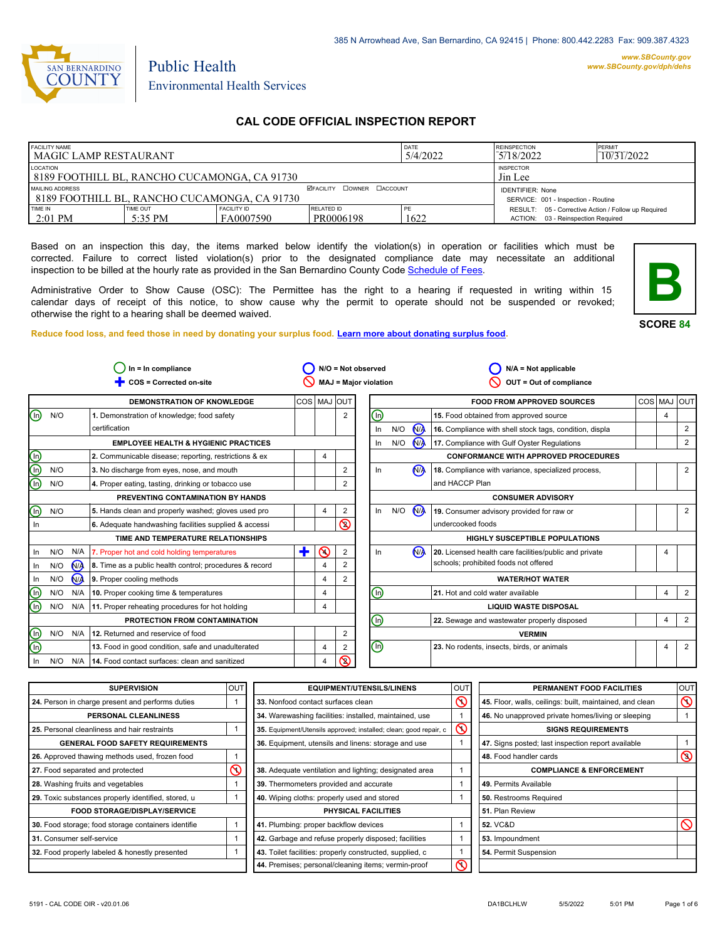

#### *www.SBCounty.gov [www.SBCounty.gov/dph/dehs](http://www.sbcounty.gov/dph/ehsportal)*

# Environmental Health Services

Public Health

# **CAL CODE OFFICIAL INSPECTION REPORT**

| <b>FACILITY NAME</b><br>l MAGIC LAMP RESTAURANT          |          |                             | DATE<br>5/4/2022                    | <b>REINSPECTION</b><br>5/18/2022 | PFRMIT<br>10/31/2022                                |  |
|----------------------------------------------------------|----------|-----------------------------|-------------------------------------|----------------------------------|-----------------------------------------------------|--|
| LOCATION<br>8189 FOOTHILL BL, RANCHO CUCAMONGA, CA 91730 |          | <b>INSPECTOR</b><br>Jin Lee |                                     |                                  |                                                     |  |
| MAILING ADDRESS                                          |          | <b>IDENTIFIER: None</b>     |                                     |                                  |                                                     |  |
| l 8189 foothill bl. Rancho Cucamonga. Ca 91730           |          |                             | SERVICE: 001 - Inspection - Routine |                                  |                                                     |  |
| TIME IN                                                  | TIME OUT | <b>FACILITY ID</b>          | RELATED ID                          | PE                               | RESULT: 05 - Corrective Action / Follow up Required |  |
| $\geq$ 2:01 PM                                           | 5:35 PM  | FA0007590                   | PR0006198                           | 1622                             | 03 - Reinspection Required<br>ACTION:               |  |

Based on an inspection this day, the items marked below identify the violation(s) in operation or facilities which must be corrected. Failure to correct listed violation(s) prior to the designated compliance date may necessitate an additional inspection to be billed at the hourly rate as provided in the San Bernardino County Co[de Schedule of Fees.](https://codelibrary.amlegal.com/codes/sanbernardino/latest/sanberncty_ca/0-0-0-122474#JD_16.0213B)

Administrative Order to Show Cause (OSC): The Permittee has the right to a hearing if requested in writing within 15 calendar days of receipt of this notice, to show cause why the permit to operate should not be suspended or revoked; otherwise the right to a hearing shall be deemed waived.

**Reduce food loss, and feed those in need by donating your surplus f[ood. Learn more about donating surplus food.](https://wp.sbcounty.gov/dph/programs/ehs/charitable-food-service/)**



|            |                | $In = In$ compliance                                    |             |          |                | $N/O = Not observed$         |     |     |                | $N/A = Not applicable$                                  |             |   |   |
|------------|----------------|---------------------------------------------------------|-------------|----------|----------------|------------------------------|-----|-----|----------------|---------------------------------------------------------|-------------|---|---|
|            |                | COS = Corrected on-site                                 |             |          |                | <b>MAJ = Major violation</b> |     |     |                | OUT = Out of compliance                                 |             |   |   |
|            |                | DEMONSTRATION OF KNOWLEDGE                              | COS MAJ OUT |          |                |                              |     |     |                | <b>FOOD FROM APPROVED SOURCES</b>                       | COS MAJ OUT |   |   |
| N/O<br>In) |                | 1. Demonstration of knowledge; food safety              |             |          | $\overline{2}$ | ⓪                            |     |     |                | 15. Food obtained from approved source                  |             | 4 |   |
|            |                | certification                                           |             |          |                | In                           | N/O |     | N <sub>A</sub> | 16. Compliance with shell stock tags, condition, displa |             |   |   |
|            |                | <b>EMPLOYEE HEALTH &amp; HYGIENIC PRACTICES</b>         |             |          |                | In                           |     | N/O | N              | 17. Compliance with Gulf Oyster Regulations             |             |   | 2 |
|            |                | 2. Communicable disease; reporting, restrictions & ex   |             | 4        |                |                              |     |     |                | <b>CONFORMANCE WITH APPROVED PROCEDURES</b>             |             |   |   |
| N/O        |                | 3. No discharge from eyes, nose, and mouth              |             |          | 2              | In                           |     |     | (N)            | 18. Compliance with variance, specialized process,      |             |   | 2 |
| N/O        |                | 4. Proper eating, tasting, drinking or tobacco use      |             |          | 2              |                              |     |     |                | and HACCP Plan                                          |             |   |   |
|            |                | PREVENTING CONTAMINATION BY HANDS                       |             |          |                |                              |     |     |                | <b>CONSUMER ADVISORY</b>                                |             |   |   |
| N/O        |                | 5. Hands clean and properly washed; gloves used pro     |             | 4        | 2              | In                           |     | N/O | N <sub>/</sub> | 19. Consumer advisory provided for raw or               |             |   |   |
|            |                | 6. Adequate handwashing facilities supplied & accessi   |             |          | S              |                              |     |     |                | undercooked foods                                       |             |   |   |
|            |                | TIME AND TEMPERATURE RELATIONSHIPS                      |             |          |                |                              |     |     |                | HIGHLY SUSCEPTIBLE POPULATIONS                          |             |   |   |
| N/O        | N/A            | 7. Proper hot and cold holding temperatures             | ٠           | $\Omega$ | $\overline{2}$ | In                           |     |     | N <sub>/</sub> | 20. Licensed health care facilities/public and private  |             | 4 |   |
| N/O        | $N_A$          | 8. Time as a public health control; procedures & record |             | 4        | 2              |                              |     |     |                | schools; prohibited foods not offered                   |             |   |   |
| N/O        | N <sub>A</sub> | 9. Proper cooling methods                               |             | 4        | 2              |                              |     |     |                | <b>WATER/HOT WATER</b>                                  |             |   |   |
| N/O        | N/A            | 10. Proper cooking time & temperatures                  |             | 4        |                | ⑯                            |     |     |                | 21. Hot and cold water available                        |             | 4 | 2 |
| N/O        | N/A            | 11. Proper reheating procedures for hot holding         |             | 4        |                |                              |     |     |                | <b>LIQUID WASTE DISPOSAL</b>                            |             |   |   |
|            |                | PROTECTION FROM CONTAMINATION                           |             |          |                | ൹                            |     |     |                | 22. Sewage and wastewater properly disposed             |             | 4 | 2 |
| N/O        | N/A            | 12. Returned and reservice of food                      |             |          | $\overline{2}$ |                              |     |     |                | <b>VERMIN</b>                                           |             |   |   |
|            |                | 13. Food in good condition, safe and unadulterated      |             | 4        | 2              | $\mathbb O$                  |     |     |                | 23. No rodents, insects, birds, or animals              |             | 4 | 2 |
| N/O        | N/A            | 14. Food contact surfaces: clean and sanitized          |             | 4        | ⋒              |                              |     |     |                |                                                         |             |   |   |

| <b>SUPERVISION</b>                                  | OUT | <b>EQUIPMENT/UTENSILS/LINENS</b>                                                    | OUT      | PERMANENT FOOD FACILITIES                                | OUT            |
|-----------------------------------------------------|-----|-------------------------------------------------------------------------------------|----------|----------------------------------------------------------|----------------|
| 24. Person in charge present and performs duties    |     | 33. Nonfood contact surfaces clean                                                  | ல        | 45. Floor, walls, ceilings: built, maintained, and clean | $\circledcirc$ |
| <b>PERSONAL CLEANLINESS</b>                         |     | 34. Warewashing facilities: installed, maintained, use                              |          | 46. No unapproved private homes/living or sleeping       |                |
| 25. Personal cleanliness and hair restraints        |     | $\circledcirc$<br>35. Equipment/Utensils approved; installed; clean; good repair, c |          | <b>SIGNS REQUIREMENTS</b>                                |                |
| <b>GENERAL FOOD SAFETY REQUIREMENTS</b>             |     | 36. Equipment, utensils and linens: storage and use                                 |          | 47. Signs posted; last inspection report available       |                |
| 26. Approved thawing methods used, frozen food      |     |                                                                                     |          | 48. Food handler cards                                   | $\odot$        |
| 27. Food separated and protected                    | ⋒   | 38. Adequate ventilation and lighting; designated area                              |          | <b>COMPLIANCE &amp; ENFORCEMENT</b>                      |                |
| 28. Washing fruits and vegetables                   |     | 39. Thermometers provided and accurate                                              |          | 49. Permits Available                                    |                |
| 29. Toxic substances properly identified, stored, u |     | 40. Wiping cloths: properly used and stored                                         |          | 50. Restrooms Required                                   |                |
| <b>FOOD STORAGE/DISPLAY/SERVICE</b>                 |     | <b>PHYSICAL FACILITIES</b>                                                          |          | 51. Plan Review                                          |                |
| 30. Food storage; food storage containers identifie |     | 41. Plumbing: proper backflow devices                                               |          | <b>52. VC&amp;D</b>                                      |                |
| 31. Consumer self-service                           |     | 42. Garbage and refuse properly disposed; facilities                                |          | 53. Impoundment                                          |                |
| 32. Food properly labeled & honestly presented      |     | 43. Toilet facilities: properly constructed, supplied, c                            |          | 54. Permit Suspension                                    |                |
|                                                     |     | 44. Premises; personal/cleaning items; vermin-proof                                 | $\infty$ |                                                          |                |

 $\circledcirc$ 

 $\bigcirc$ 

⊚  $\overline{\mathbb{Q}}$  $\bigcirc$ 

 $\overline{\mathbb{Q}}$  $\circledcirc$ 

 $\overline{\mathbb{Q}}$  $\bigcirc$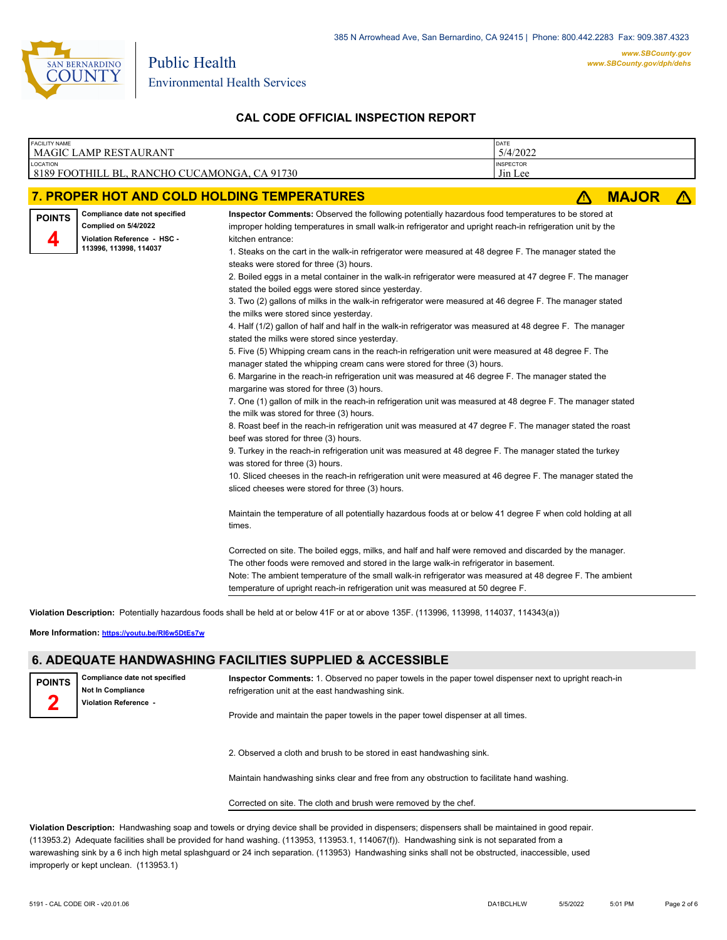

| <b>FACILITY NAME</b> | <b>MAGIC LAMP RESTAURANT</b>                                                                                   |                                                                                                                                                                                                                                                                                                                                                                                                                                                                                                                                                                                                                                                                                                                                                                                                                                                                                                                                                                                                                                                                                                                                                                                                                                                                                                                                                                                                                                                                                                                                                                                                                                                                                                                                                                                                                                                                                                                                                                                                                                                                                                                                                                                                                                                                                                                                                                                           | DATE<br>5/4/2022            |   |              |  |
|----------------------|----------------------------------------------------------------------------------------------------------------|-------------------------------------------------------------------------------------------------------------------------------------------------------------------------------------------------------------------------------------------------------------------------------------------------------------------------------------------------------------------------------------------------------------------------------------------------------------------------------------------------------------------------------------------------------------------------------------------------------------------------------------------------------------------------------------------------------------------------------------------------------------------------------------------------------------------------------------------------------------------------------------------------------------------------------------------------------------------------------------------------------------------------------------------------------------------------------------------------------------------------------------------------------------------------------------------------------------------------------------------------------------------------------------------------------------------------------------------------------------------------------------------------------------------------------------------------------------------------------------------------------------------------------------------------------------------------------------------------------------------------------------------------------------------------------------------------------------------------------------------------------------------------------------------------------------------------------------------------------------------------------------------------------------------------------------------------------------------------------------------------------------------------------------------------------------------------------------------------------------------------------------------------------------------------------------------------------------------------------------------------------------------------------------------------------------------------------------------------------------------------------------------|-----------------------------|---|--------------|--|
| LOCATION             | 8189 FOOTHILL BL, RANCHO CUCAMONGA, CA 91730                                                                   |                                                                                                                                                                                                                                                                                                                                                                                                                                                                                                                                                                                                                                                                                                                                                                                                                                                                                                                                                                                                                                                                                                                                                                                                                                                                                                                                                                                                                                                                                                                                                                                                                                                                                                                                                                                                                                                                                                                                                                                                                                                                                                                                                                                                                                                                                                                                                                                           | <b>INSPECTOR</b><br>Jin Lee |   |              |  |
|                      |                                                                                                                | 7. PROPER HOT AND COLD HOLDING TEMPERATURES                                                                                                                                                                                                                                                                                                                                                                                                                                                                                                                                                                                                                                                                                                                                                                                                                                                                                                                                                                                                                                                                                                                                                                                                                                                                                                                                                                                                                                                                                                                                                                                                                                                                                                                                                                                                                                                                                                                                                                                                                                                                                                                                                                                                                                                                                                                                               |                             | Λ | <b>MAJOR</b> |  |
| <b>POINTS</b><br>4   | Compliance date not specified<br>Complied on 5/4/2022<br>Violation Reference - HSC -<br>113996, 113998, 114037 | Inspector Comments: Observed the following potentially hazardous food temperatures to be stored at<br>improper holding temperatures in small walk-in refrigerator and upright reach-in refrigeration unit by the<br>kitchen entrance:<br>1. Steaks on the cart in the walk-in refrigerator were measured at 48 degree F. The manager stated the<br>steaks were stored for three (3) hours.<br>2. Boiled eggs in a metal container in the walk-in refrigerator were measured at 47 degree F. The manager<br>stated the boiled eggs were stored since yesterday.<br>3. Two (2) gallons of milks in the walk-in refrigerator were measured at 46 degree F. The manager stated<br>the milks were stored since yesterday.<br>4. Half (1/2) gallon of half and half in the walk-in refrigerator was measured at 48 degree F. The manager<br>stated the milks were stored since yesterday.<br>5. Five (5) Whipping cream cans in the reach-in refrigeration unit were measured at 48 degree F. The<br>manager stated the whipping cream cans were stored for three (3) hours.<br>6. Margarine in the reach-in refrigeration unit was measured at 46 degree F. The manager stated the<br>margarine was stored for three (3) hours.<br>7. One (1) gallon of milk in the reach-in refrigeration unit was measured at 48 degree F. The manager stated<br>the milk was stored for three (3) hours.<br>8. Roast beef in the reach-in refrigeration unit was measured at 47 degree F. The manager stated the roast<br>beef was stored for three (3) hours.<br>9. Turkey in the reach-in refrigeration unit was measured at 48 degree F. The manager stated the turkey<br>was stored for three (3) hours.<br>10. Sliced cheeses in the reach-in refrigeration unit were measured at 46 degree F. The manager stated the<br>sliced cheeses were stored for three (3) hours.<br>Maintain the temperature of all potentially hazardous foods at or below 41 degree F when cold holding at all<br>times.<br>Corrected on site. The boiled eggs, milks, and half and half were removed and discarded by the manager.<br>The other foods were removed and stored in the large walk-in refrigerator in basement.<br>Note: The ambient temperature of the small walk-in refrigerator was measured at 48 degree F. The ambient<br>temperature of upright reach-in refrigeration unit was measured at 50 degree F. |                             |   |              |  |

**Violation Description:** Potentially hazardous foods shall be held at or below 41F or at or above 135F. (113996, 113998, 114037, 114343(a))

**More Information: <https://youtu.be/RI6w5DtEs7w>**

#### **6. ADEQUATE HANDWASHING FACILITIES SUPPLIED & ACCESSIBLE**

**Compliance date not specified Not In Compliance Violation Reference - POINTS 2**

**Inspector Comments:** 1. Observed no paper towels in the paper towel dispenser next to upright reach-in refrigeration unit at the east handwashing sink.

Provide and maintain the paper towels in the paper towel dispenser at all times.

2. Observed a cloth and brush to be stored in east handwashing sink.

Maintain handwashing sinks clear and free from any obstruction to facilitate hand washing.

Corrected on site. The cloth and brush were removed by the chef.

**Violation Description:** Handwashing soap and towels or drying device shall be provided in dispensers; dispensers shall be maintained in good repair. (113953.2) Adequate facilities shall be provided for hand washing. (113953, 113953.1, 114067(f)). Handwashing sink is not separated from a warewashing sink by a 6 inch high metal splashguard or 24 inch separation. (113953) Handwashing sinks shall not be obstructed, inaccessible, used improperly or kept unclean. (113953.1)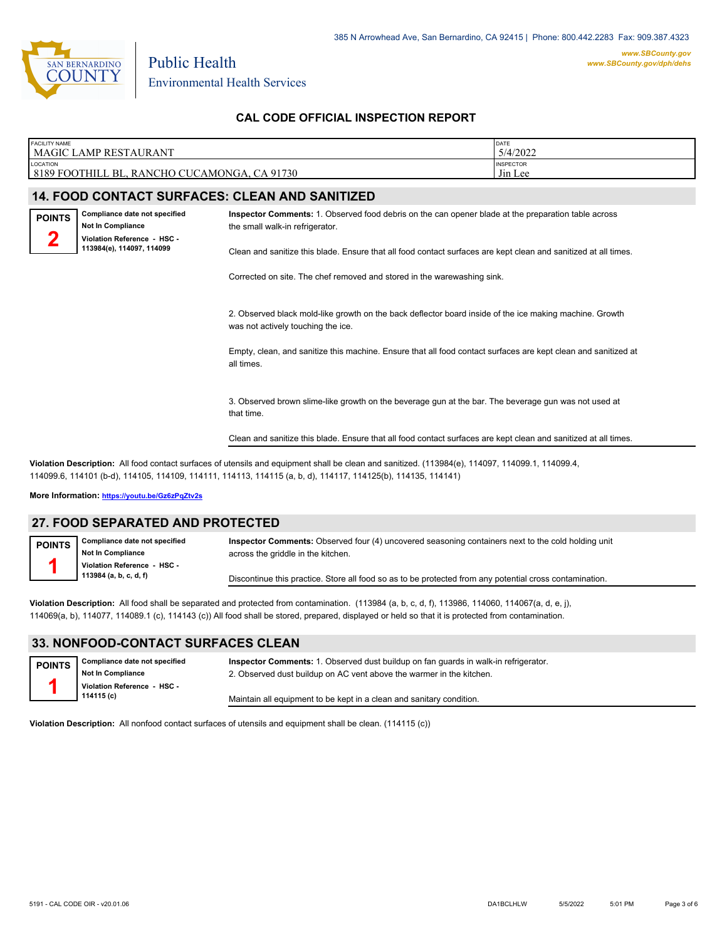

| <b>FACILITY NAME</b><br><b>MAGIC LAMP RESTAURANT</b>                                                                                                                                                                                                             |                                                       | DATE                                                                                                            |  |  |  |  |
|------------------------------------------------------------------------------------------------------------------------------------------------------------------------------------------------------------------------------------------------------------------|-------------------------------------------------------|-----------------------------------------------------------------------------------------------------------------|--|--|--|--|
| <b>LOCATION</b>                                                                                                                                                                                                                                                  |                                                       | 5/4/2022<br><b>INSPECTOR</b>                                                                                    |  |  |  |  |
| 8189 FOOTHILL BL, RANCHO CUCAMONGA, CA 91730                                                                                                                                                                                                                     |                                                       | Jin Lee                                                                                                         |  |  |  |  |
|                                                                                                                                                                                                                                                                  | <b>14. FOOD CONTACT SURFACES: CLEAN AND SANITIZED</b> |                                                                                                                 |  |  |  |  |
| Compliance date not specified<br><b>POINTS</b><br><b>Not In Compliance</b><br>Violation Reference - HSC -                                                                                                                                                        | the small walk-in refrigerator.                       | Inspector Comments: 1. Observed food debris on the can opener blade at the preparation table across             |  |  |  |  |
| 113984(e), 114097, 114099                                                                                                                                                                                                                                        |                                                       | Clean and sanitize this blade. Ensure that all food contact surfaces are kept clean and sanitized at all times. |  |  |  |  |
|                                                                                                                                                                                                                                                                  |                                                       | Corrected on site. The chef removed and stored in the warewashing sink.                                         |  |  |  |  |
|                                                                                                                                                                                                                                                                  | was not actively touching the ice.                    | 2. Observed black mold-like growth on the back deflector board inside of the ice making machine. Growth         |  |  |  |  |
|                                                                                                                                                                                                                                                                  | all times.                                            | Empty, clean, and sanitize this machine. Ensure that all food contact surfaces are kept clean and sanitized at  |  |  |  |  |
|                                                                                                                                                                                                                                                                  | that time.                                            | 3. Observed brown slime-like growth on the beverage gun at the bar. The beverage gun was not used at            |  |  |  |  |
| Clean and sanitize this blade. Ensure that all food contact surfaces are kept clean and sanitized at all times.                                                                                                                                                  |                                                       |                                                                                                                 |  |  |  |  |
| Violation Description: All food contact surfaces of utensils and equipment shall be clean and sanitized. (113984(e), 114097, 114099.1, 114099.4,<br>114099.6, 114101 (b-d), 114105, 114109, 114111, 114113, 114115 (a, b, d), 114117, 114125(b), 114135, 114141) |                                                       |                                                                                                                 |  |  |  |  |

**More Information: <https://youtu.be/Gz6zPqZtv2s>**

#### **27. FOOD SEPARATED AND PROTECTED**

**Compliance date not specified Not In Compliance Violation Reference - HSC - 113984 (a, b, c, d, f) POINTS 1 Inspector Comments:** Observed four (4) uncovered seasoning containers next to the cold holding unit across the griddle in the kitchen. Discontinue this practice. Store all food so as to be protected from any potential cross contamination.

**Violation Description:** All food shall be separated and protected from contamination. (113984 (a, b, c, d, f), 113986, 114060, 114067(a, d, e, j), 114069(a, b), 114077, 114089.1 (c), 114143 (c)) All food shall be stored, prepared, displayed or held so that it is protected from contamination.

### **33. NONFOOD-CONTACT SURFACES CLEAN**

**Violation Description:** All nonfood contact surfaces of utensils and equipment shall be clean. (114115 (c))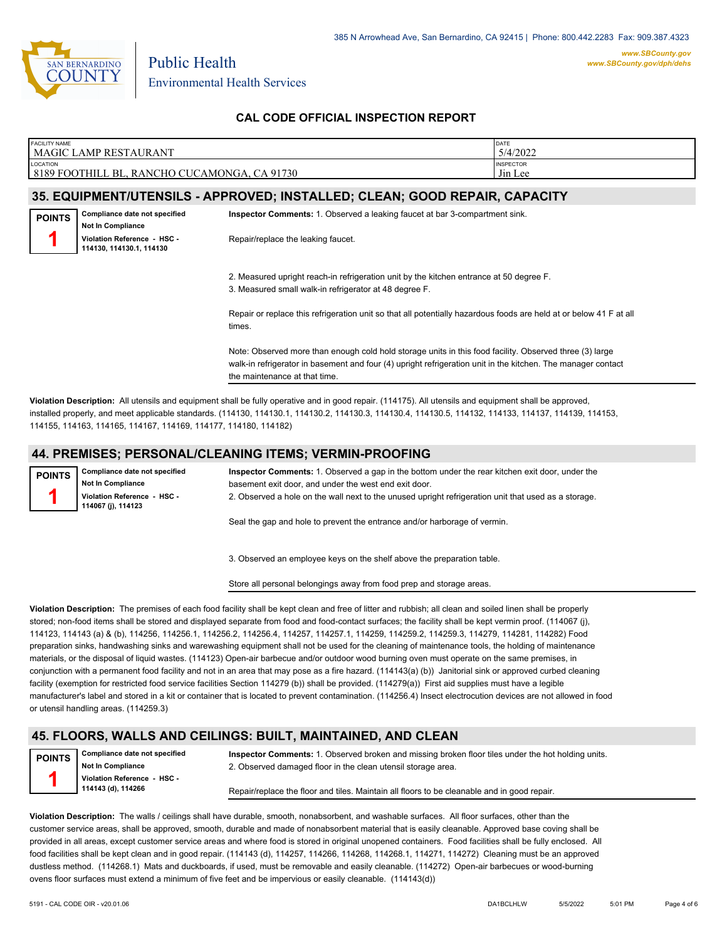

| <b>FACILITY NAME</b>                         | DATE             |
|----------------------------------------------|------------------|
| <b>MAGIC LAMP RESTAURANT</b>                 | 5/4/2022         |
| <b>LOCATION</b>                              | <b>INSPECTOR</b> |
| 8189 FOOTHILL BL, RANCHO CUCAMONGA, CA 91730 | Jin Lee          |
|                                              |                  |

### **35. EQUIPMENT/UTENSILS - APPROVED; INSTALLED; CLEAN; GOOD REPAIR, CAPACITY**

**Compliance date not specified Not In Compliance Violation Reference - HSC - 114130, 114130.1, 114130 POINTS 1 Inspector Comments:** 1. Observed a leaking faucet at bar 3-compartment sink. Repair/replace the leaking faucet.

2. Measured upright reach-in refrigeration unit by the kitchen entrance at 50 degree F.

3. Measured small walk-in refrigerator at 48 degree F.

Repair or replace this refrigeration unit so that all potentially hazardous foods are held at or below 41 F at all times.

Note: Observed more than enough cold hold storage units in this food facility. Observed three (3) large walk-in refrigerator in basement and four (4) upright refrigeration unit in the kitchen. The manager contact the maintenance at that time.

**Violation Description:** All utensils and equipment shall be fully operative and in good repair. (114175). All utensils and equipment shall be approved, installed properly, and meet applicable standards. (114130, 114130.1, 114130.2, 114130.3, 114130.4, 114130.5, 114132, 114133, 114137, 114139, 114153, 114155, 114163, 114165, 114167, 114169, 114177, 114180, 114182)

#### **44. PREMISES; PERSONAL/CLEANING ITEMS; VERMIN-PROOFING**

**Compliance date not specified Not In Compliance Violation Reference - HSC - 114067 (j), 114123 POINTS 1 Inspector Comments:** 1. Observed a gap in the bottom under the rear kitchen exit door, under the basement exit door, and under the west end exit door. 2. Observed a hole on the wall next to the unused upright refrigeration unit that used as a storage.

Seal the gap and hole to prevent the entrance and/or harborage of vermin.

3. Observed an employee keys on the shelf above the preparation table.

Store all personal belongings away from food prep and storage areas.

**Violation Description:** The premises of each food facility shall be kept clean and free of litter and rubbish; all clean and soiled linen shall be properly stored; non-food items shall be stored and displayed separate from food and food-contact surfaces; the facility shall be kept vermin proof. (114067 (j), 114123, 114143 (a) & (b), 114256, 114256.1, 114256.2, 114256.4, 114257, 114257.1, 114259, 114259.2, 114259.3, 114279, 114281, 114282) Food preparation sinks, handwashing sinks and warewashing equipment shall not be used for the cleaning of maintenance tools, the holding of maintenance materials, or the disposal of liquid wastes. (114123) Open-air barbecue and/or outdoor wood burning oven must operate on the same premises, in conjunction with a permanent food facility and not in an area that may pose as a fire hazard. (114143(a) (b)) Janitorial sink or approved curbed cleaning facility (exemption for restricted food service facilities Section 114279 (b)) shall be provided. (114279(a)) First aid supplies must have a legible manufacturer's label and stored in a kit or container that is located to prevent contamination. (114256.4) Insect electrocution devices are not allowed in food or utensil handling areas. (114259.3)

#### **45. FLOORS, WALLS AND CEILINGS: BUILT, MAINTAINED, AND CLEAN**

**POINTS 1**

**Compliance date not specified Not In Compliance Violation Reference - HSC - 114143 (d), 114266**

**Inspector Comments:** 1. Observed broken and missing broken floor tiles under the hot holding units. 2. Observed damaged floor in the clean utensil storage area.

Repair/replace the floor and tiles. Maintain all floors to be cleanable and in good repair.

**Violation Description:** The walls / ceilings shall have durable, smooth, nonabsorbent, and washable surfaces. All floor surfaces, other than the customer service areas, shall be approved, smooth, durable and made of nonabsorbent material that is easily cleanable. Approved base coving shall be provided in all areas, except customer service areas and where food is stored in original unopened containers. Food facilities shall be fully enclosed. All food facilities shall be kept clean and in good repair. (114143 (d), 114257, 114266, 114268, 114268.1, 114271, 114272) Cleaning must be an approved dustless method. (114268.1) Mats and duckboards, if used, must be removable and easily cleanable. (114272) Open-air barbecues or wood-burning ovens floor surfaces must extend a minimum of five feet and be impervious or easily cleanable. (114143(d))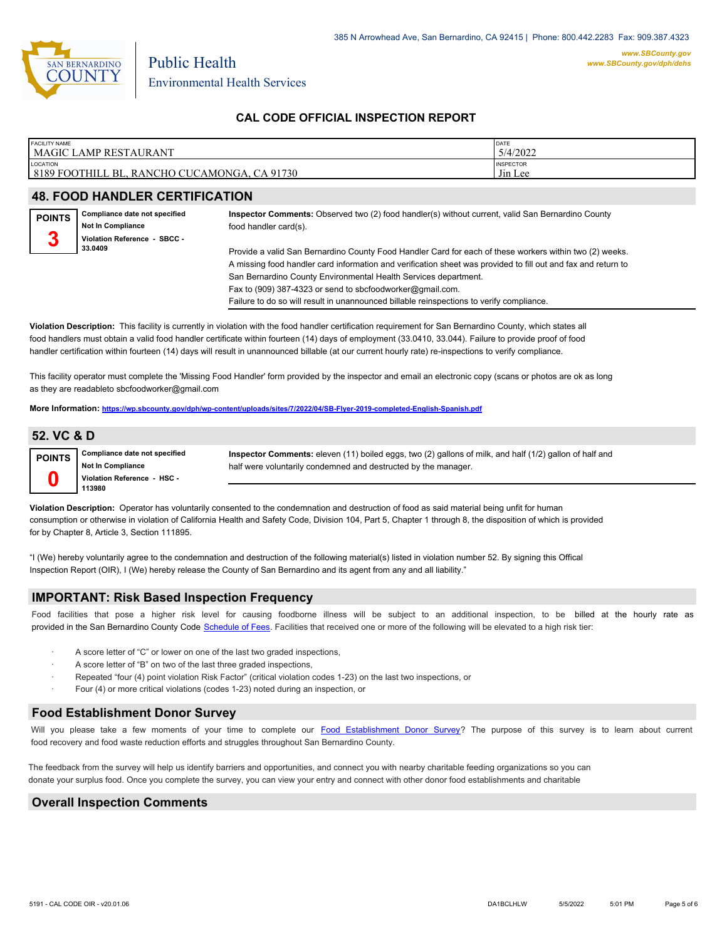

| <b>FACILITY NAME</b>                                                         | DATE                                            |
|------------------------------------------------------------------------------|-------------------------------------------------|
| <b>MAGIC LAMP RESTAURANT</b>                                                 | 5/4/2022                                        |
| <b>LOCATION</b><br>8189 FOOTHILL<br>CA 91730<br>, RANCHO CUCAMONGA,<br>™ BL. | <b>INSPECTOR</b><br>$-1$<br>J <sub>in</sub> Lee |

# **48. FOOD HANDLER CERTIFICATION**

| <b>POINTS</b><br>2 | Compliance date not specified<br><b>Not In Compliance</b><br>Violation Reference - SBCC - | Inspector Comments: Observed two (2) food handler(s) without current, valid San Bernardino County<br>food handler card(s).                                                                                               |
|--------------------|-------------------------------------------------------------------------------------------|--------------------------------------------------------------------------------------------------------------------------------------------------------------------------------------------------------------------------|
|                    | 33.0409                                                                                   | Provide a valid San Bernardino County Food Handler Card for each of these workers within two (2) weeks.<br>A missing food handler card information and verification sheet was provided to fill out and fax and return to |
|                    |                                                                                           | San Bernardino County Environmental Health Services department.<br>Fax to (909) 387-4323 or send to sbcfoodworker@gmail.com.<br>Failure to do so will result in unannounced billable reinspections to verify compliance. |

**Violation Description:** This facility is currently in violation with the food handler certification requirement for San Bernardino County, which states all food handlers must obtain a valid food handler certificate within fourteen (14) days of employment (33.0410, 33.044). Failure to provide proof of food handler certification within fourteen (14) days will result in unannounced billable (at our current hourly rate) re-inspections to verify compliance.

This facility operator must complete the 'Missing Food Handler' form provided by the inspector and email an electronic copy (scans or photos are ok as long as they are readableto sbcfoodworker@gmail.com

**More Information: <https://wp.sbcounty.gov/dph/wp-content/uploads/sites/7/2022/04/SB-Flyer-2019-completed-English-Spanish.pdf>**

#### **52. VC & D**

| POINTS | Compliance date not specified<br><b>Not In Compliance</b> | Inspector Comments: eleven (11) boiled eggs, two (2) gallons of milk, and half (1/2) gallon of half and<br>half were voluntarily condemned and destructed by the manager. |
|--------|-----------------------------------------------------------|---------------------------------------------------------------------------------------------------------------------------------------------------------------------------|
|        | Violation Reference - HSC -<br>113980                     |                                                                                                                                                                           |

**Violation Description:** Operator has voluntarily consented to the condemnation and destruction of food as said material being unfit for human consumption or otherwise in violation of California Health and Safety Code, Division 104, Part 5, Chapter 1 through 8, the disposition of which is provided for by Chapter 8, Article 3, Section 111895.

"I (We) hereby voluntarily agree to the condemnation and destruction of the following material(s) listed in violation number 52. By signing this Offical Inspection Report (OIR), I (We) hereby release the County of San Bernardino and its agent from any and all liability."

#### **IMPORTANT: Risk Based Inspection Frequency**

Food facilities that pose a higher risk level for causing foodborne illness will be subject to an additional inspection, to be billed at the hourly rate as provided in the San Bernardi[no County Code Schedule of Fees](https://codelibrary.amlegal.com/codes/sanbernardino/latest/sanberncty_ca/0-0-0-122474#JD_16.0213B). Facilities that received one or more of the following will be elevated to a high risk tier:

- A score letter of "C" or lower on one of the last two graded inspections,
- A score letter of "B" on two of the last three graded inspections,
- Repeated "four (4) point violation Risk Factor" (critical violation codes 1-23) on the last two inspections, or
- Four (4) or more critical violations (codes 1-23) noted during an inspection, or

#### **Food Establishment Donor Survey**

Will you please take a few moments of your time to co[mplete our Food Establishment Donor Survey?](https://survey123.arcgis.com/share/626bb0fb21674c82832b0c0d557c5e80?field:faid=FA0007590&field:facility_name=MAGIC%20LAMP%20RESTAURANT¢er=34.11,-117.63&field:phone=9099818659) The purpose of this survey is to learn about current food recovery and food waste reduction efforts and struggles throughout San Bernardino County.

The feedback from the survey will help us identify barriers and opportunities, and connect you with nearby charitable feeding organizations so you can donate your surplus fo[od. Once you complete the su](https://arcg.is/WvjGb)rvey, you can view your entry and connect with other donor food establishments and charitable

#### **Overall Inspection Comments**